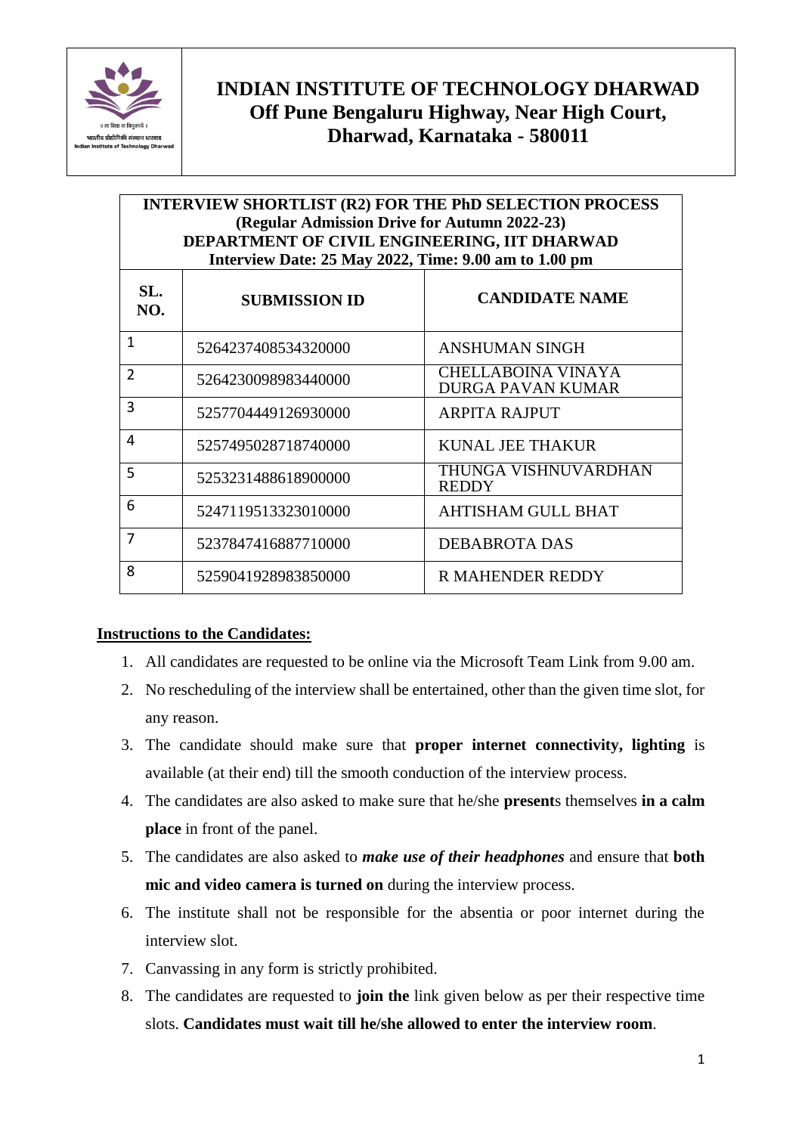

## **INDIAN INSTITUTE OF TECHNOLOGY DHARWAD Off Pune Bengaluru Highway, Near High Court, Dharwad, Karnataka - 580011**

## **INTERVIEW SHORTLIST (R2) FOR THE PhD SELECTION PROCESS (Regular Admission Drive for Autumn 2022-23) DEPARTMENT OF CIVIL ENGINEERING, IIT DHARWAD Interview Date: 25 May 2022, Time: 9.00 am to 1.00 pm**

| SL.<br>NO.     | <b>SUBMISSION ID</b> | <b>CANDIDATE NAME</b>                                 |
|----------------|----------------------|-------------------------------------------------------|
| $\mathbf{1}$   | 5264237408534320000  | ANSHUMAN SINGH                                        |
| $\overline{2}$ | 5264230098983440000  | <b>CHELLABOINA VINAYA</b><br><b>DURGA PAVAN KUMAR</b> |
| 3              | 5257704449126930000  | ARPITA RAJPUT                                         |
| 4              | 5257495028718740000  | KUNAL JEE THAKUR                                      |
| 5              | 5253231488618900000  | THUNGA VISHNUVARDHAN<br><b>REDDY</b>                  |
| 6              | 5247119513323010000  | AHTISHAM GULL BHAT                                    |
| 7              | 5237847416887710000  | DEBABROTA DAS                                         |
| 8              | 5259041928983850000  | <b>R MAHENDER REDDY</b>                               |

## **Instructions to the Candidates:**

- 1. All candidates are requested to be online via the Microsoft Team Link from 9.00 am.
- 2. No rescheduling of the interview shall be entertained, other than the given time slot, for any reason.
- 3. The candidate should make sure that **proper internet connectivity, lighting** is available (at their end) till the smooth conduction of the interview process.
- 4. The candidates are also asked to make sure that he/she **present**s themselves **in a calm place** in front of the panel.
- 5. The candidates are also asked to *make use of their headphones* and ensure that **both mic and video camera is turned on** during the interview process.
- 6. The institute shall not be responsible for the absentia or poor internet during the interview slot.
- 7. Canvassing in any form is strictly prohibited.
- 8. The candidates are requested to **join the** link given below as per their respective time slots. **Candidates must wait till he/she allowed to enter the interview room**.